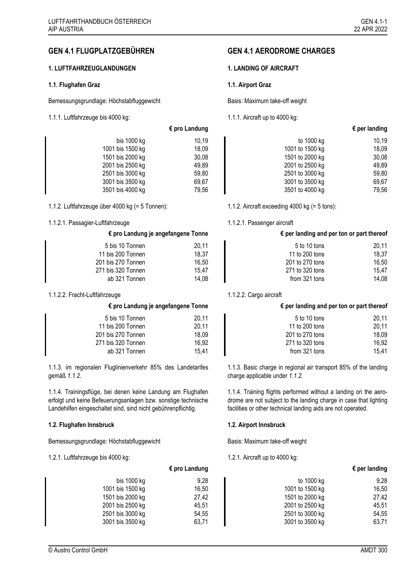# **GEN 4.1 FLUGPLATZGEBÜHREN GEN 4.1 AERODROME CHARGES**

# 1. LUFTFAHRZEUGLANDUNGEN 1. LANDING OF AIRCRAFT

### **1.1. Flughafen Graz 1.1. Airport Graz**

Bemessungsgrundlage: Höchstabfluggewicht Basis: Maximum take-off weight

1.1.1. Luftfahrzeuge bis 4000 kg: 1.1.1. Aircraft up to 4000 kg:

## <span id="page-0-1"></span>**€ pro Landung € per landing**

| 10,19 |
|-------|
| 18,09 |
| 30,08 |
| 49,89 |
| 59,80 |
| 69,67 |
| 79,56 |
|       |

<span id="page-0-0"></span>1.1.2. Luftfahrzeuge über 4000 kg (= 5 Tonnen): 1.1.2. Aircraft exceeding 4000 kg (= 5 tons):

### 1.1.2.1. Passagier-Luftfahrzeuge 1.1.2.1. Passenger aircraft

### **€ pro Landung je angefangene Tonne € per landing and per ton or part thereof**

| 5 bis 10 Tonnen    | 20,11 | 5 to 10 tons    | 20,11 |
|--------------------|-------|-----------------|-------|
|                    |       |                 |       |
| 11 bis 200 Tonnen  | 18.37 | 11 to 200 tons  | 18.37 |
| 201 bis 270 Tonnen | 16.50 | 201 to 270 tons | 16.50 |
| 271 bis 320 Tonnen | 15.47 | 271 to 320 tons | 15.47 |
| ab 321 Tonnen      | 14.08 | from 321 tons   | 14.08 |

## 1.1.2.2. Fracht-Luftfahrzeuge 1.1.2.2. Cargo aircraft

| 20.11 |
|-------|
| 20,11 |
| 18,09 |
| 16.92 |
| 15.41 |
|       |

1.1.3. im regionalen Fluglinienverkehr 85% des Landetarifes gemäß *[1.1.2.](#page-0-0)*

1.1.4. Trainingsflüge, bei denen keine Landung am Flughafen erfolgt und keine Befeuerungsanlagen bzw. sonstige technische Landehilfen eingeschaltet sind, sind nicht gebührenpflichtig.

# **1.2. Flughafen Innsbruck 1.2. Airport Innsbruck**

Bemessungsgrundlage: Höchstabfluggewicht Basis: Maximum take-off weight

1.2.1. Luftfahrzeuge bis 4000 kg: 1.2.1. Aircraft up to 4000 kg:

## **€ pro Landung je angefangene Tonne € per landing and per ton or part thereof**

| 5 bis 10 Tonnen    | 20.11 | 5 to 10 tons    | 20.11 |
|--------------------|-------|-----------------|-------|
| 11 bis 200 Tonnen  | 20.11 | 11 to 200 tons  | 20.11 |
| 201 bis 270 Tonnen | 18.09 | 201 to 270 tons | 18.09 |
| 271 bis 320 Tonnen | 16.92 | 271 to 320 tons | 16.92 |
| ab 321 Tonnen      | 15.41 | from 321 tons   | 15.41 |

1.1.3. Basic charge in regional air transport 85% of the landing charge applicable under *[1.1.2.](#page-0-1)*

1.1.4. Training flights performed without a landing on the aerodrome are not subject to the landing charge in case that lighting facilities or other technical landing aids are not operated.

|                  | $\epsilon$ pro Landung |                 | $\epsilon$ per landing |
|------------------|------------------------|-----------------|------------------------|
| bis $1000$ kg    | 9.28                   | to 1000 kg      | 9,28                   |
| 1001 bis 1500 kg | 16,50                  | 1001 to 1500 kg | 16,50                  |
| 1501 bis 2000 kg | 27,42                  | 1501 to 2000 kg | 27,42                  |
| 2001 bis 2500 kg | 45,51                  | 2001 to 2500 kg | 45.51                  |
| 2501 bis 3000 kg | 54,55                  | 2501 to 3000 kg | 54,55                  |
| 3001 bis 3500 kg | 63,71                  | 3001 to 3500 kg | 63,71                  |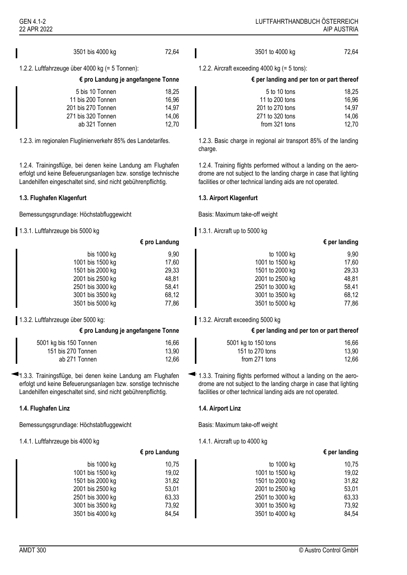| 72,64<br>3501 bis 4000 kg<br>3501 to 4000 kg | 72,64 |
|----------------------------------------------|-------|
|----------------------------------------------|-------|

1.2.2. Luftfahrzeuge über 4000 kg (= 5 Tonnen): 1.2.2. Aircraft exceeding 4000 kg (= 5 tons):

| € pro Landung je angefangene Tonn |  |  |
|-----------------------------------|--|--|
|                                   |  |  |

| 5 bis 10 Tonnen    | 18,25 | 5 to 10 tons    | 18.25 |
|--------------------|-------|-----------------|-------|
| 11 bis 200 Tonnen  | 16,96 | 11 to 200 tons  | 16,96 |
| 201 bis 270 Tonnen | 14.97 | 201 to 270 tons | 14.97 |
| 271 bis 320 Tonnen | 14.06 | 271 to 320 tons | 14.06 |
| ab 321 Tonnen      | 12.70 | from 321 tons   | 12.70 |
|                    |       |                 |       |

1.2.4. Trainingsflüge, bei denen keine Landung am Flughafen erfolgt und keine Befeuerungsanlagen bzw. sonstige technische Landehilfen eingeschaltet sind, sind nicht gebührenpflichtig.

## **1.3. Flughafen Klagenfurt 1.3. Airport Klagenfurt**

Bemessungsgrundlage: Höchstabfluggewicht Basis: Maximum take-off weight

1.3.1. Luftfahrzeuge bis 5000 kg 1.3.1. Aircraft up to 5000 kg

|                  | $\epsilon$ pro Landung |
|------------------|------------------------|
| bis 1000 kg      | 9,90                   |
| 1001 bis 1500 kg | 17,60                  |
| 1501 bis 2000 kg | 29,33                  |
| 2001 bis 2500 kg | 48,81                  |
| 2501 bis 3000 kg | 58,41                  |
| 3001 bis 3500 kg | 68,12                  |
| 3501 bis 5000 kg | 77,86                  |

1.3.2. Luftfahrzeuge über 5000 kg: 1.3.2. Aircraft exceeding 5000 kg

| 5001 kg bis 150 Tonnen | 16,66 | 5001 kg to 150 tons | 16,66 |
|------------------------|-------|---------------------|-------|
| 151 bis 270 Tonnen     | 13,90 | 151 to 270 tons     | 13.90 |
| ab 271 Tonnen          | 12,66 | from 271 tons       | 12.66 |

1.3.3. Trainingsflüge, bei denen keine Landung am Flughafen erfolgt und keine Befeuerungsanlagen bzw. sonstige technische Landehilfen eingeschaltet sind, sind nicht gebührenpflichtig.

# **1.4. Flughafen Linz 1.4. Airport Linz**

Bemessungsgrundlage: Höchstabfluggewicht Basis: Maximum take-off weight

1.4.1. Luftfahrzeuge bis 4000 kg 1.4.1. Aircraft up to 4000 kg

| <b>AIP AUSTI</b> |
|------------------|
|                  |

| € pro Landung je angefangene Tonne | $\epsilon$ per landing and per ton or part thereof |
|------------------------------------|----------------------------------------------------|
|                                    |                                                    |
|                                    |                                                    |

| 5 to 10 tons    | 18.25 |
|-----------------|-------|
| 11 to 200 tons  | 16,96 |
| 201 to 270 tons | 14.97 |
| 271 to 320 tons | 14.06 |
| from 321 tons   | 12.70 |
|                 |       |

1.2.3. im regionalen Fluglinienverkehr 85% des Landetarifes. 1.2.3. Basic charge in regional air transport 85% of the landing charge.

> 1.2.4. Training flights performed without a landing on the aerodrome are not subject to the landing charge in case that lighting facilities or other technical landing aids are not operated.

| $\epsilon$ per landing |                 | $\epsilon$ pro Landung |                  |
|------------------------|-----------------|------------------------|------------------|
| 9,90                   | to 1000 kg      | 9,90                   | bis $1000$ kg    |
| 17,60                  | 1001 to 1500 kg | 17,60                  | 1001 bis 1500 kg |
| 29,33                  | 1501 to 2000 kg | 29,33                  | 1501 bis 2000 kg |
| 48,81                  | 2001 to 2500 kg | 48.81                  | 2001 bis 2500 kg |
| 58.41                  | 2501 to 3000 kg | 58,41                  | 2501 bis 3000 kg |
| 68,12                  | 3001 to 3500 kg | 68.12                  | 3001 bis 3500 kg |
| 77,86                  | 3501 to 5000 kg | 77,86                  | 3501 bis 5000 kg |
|                        |                 |                        |                  |

### **€ pro Landung je angefangene Tonne € per landing and per ton or part thereof**

| I kg bis 150 Tonnen | 16,66 | 5001 kg to 150 tons | 16,66 |
|---------------------|-------|---------------------|-------|
| 151 bis 270 Tonnen  | 13,90 | 151 to 270 tons     | 13,90 |
| ab 271 Tonnen       | 12,66 | from 271 tons       | 12,66 |

 $\blacktriangleleft$  1.3.3. Training flights performed without a landing on the aerodrome are not subject to the landing charge in case that lighting facilities or other technical landing aids are not operated.

| $\epsilon$ pro Landung |       |                 | $\epsilon$ per landing |
|------------------------|-------|-----------------|------------------------|
| bis 1000 kg            | 10.75 | to 1000 kg      | 10,75                  |
| 1001 bis 1500 kg       | 19,02 | 1001 to 1500 kg | 19,02                  |
| 1501 bis 2000 kg       | 31,82 | 1501 to 2000 kg | 31,82                  |
| 2001 bis 2500 kg       | 53,01 | 2001 to 2500 kg | 53,01                  |
| 2501 bis 3000 kg       | 63,33 | 2501 to 3000 kg | 63,33                  |
| 3001 bis 3500 kg       | 73,92 | 3001 to 3500 kg | 73,92                  |
| 3501 bis 4000 kg       | 84,54 | 3501 to 4000 kg | 84,54                  |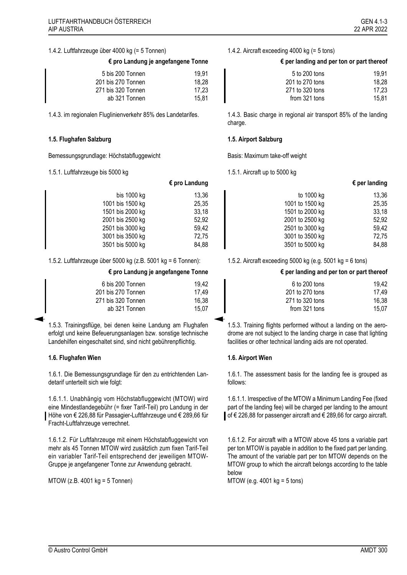### 1.4.2. Luftfahrzeuge über 4000 kg (= 5 Tonnen) 1.4.2. Aircraft exceeding 4000 kg (= 5 tons)

| 5 bis 200 Tonnen   | 19.91 |
|--------------------|-------|
| 201 bis 270 Tonnen | 18.28 |
| 271 bis 320 Tonnen | 17.23 |
| ab 321 Tonnen      | 15.81 |

### **1.5. Flughafen Salzburg 1.5. Airport Salzburg**

Bemessungsgrundlage: Höchstabfluggewicht Basis: Maximum take-off weight

1.5.1. Luftfahrzeuge bis 5000 kg 1.5.1. Aircraft up to 5000 kg

|                  | $\epsilon$ pro Landung |
|------------------|------------------------|
| bis 1000 kg      | 13,36                  |
| 1001 bis 1500 kg | 25,35                  |
| 1501 bis 2000 kg | 33,18                  |
| 2001 bis 2500 kg | 52,92                  |
| 2501 bis 3000 kg | 59,42                  |
| 3001 bis 3500 kg | 72,75                  |
| 3501 bis 5000 kg | 84,88                  |

1.5.2. Luftfahrzeuge über 5000 kg (z.B. 5001 kg = 6 Tonnen): 1.5.2. Aircraft exceeding 5000 kg (e.g. 5001 kg = 6 tons)

| 6 bis 200 Tonnen   | 19,42 | 6 to 200 tons   | 19,42 |
|--------------------|-------|-----------------|-------|
| 201 bis 270 Tonnen | 17.49 | 201 to 270 tons | 17.49 |
| 271 bis 320 Tonnen | 16.38 | 271 to 320 tons | 16,38 |
| ab 321 Tonnen      | 15.07 | from 321 tons   | 15.07 |

1.5.3. Trainingsflüge, bei denen keine Landung am Flughafen erfolgt und keine Befeuerungsanlagen bzw. sonstige technische Landehilfen eingeschaltet sind, sind nicht gebührenpflichtig.

### **1.6. Flughafen Wien 1.6. Airport Wien**

1.6.1. Die Bemessungsgrundlage für den zu entrichtenden Landetarif unterteilt sich wie folgt:

1.6.1.1. Unabhängig vom Höchstabfluggewicht (MTOW) wird eine Mindestlandegebühr (= fixer Tarif-Teil) pro Landung in der Höhe von € 226,88 für Passagier-Luftfahrzeuge und € 289,66 für Fracht-Luftfahrzeuge verrechnet.

<span id="page-2-1"></span>1.6.1.2. Für Luftfahrzeuge mit einem Höchstabfluggewicht von mehr als 45 Tonnen MTOW wird zusätzlich zum fixen Tarif-Teil ein variabler Tarif-Teil entsprechend der jeweiligen MTOW-Gruppe je angefangener Tonne zur Anwendung gebracht.

MTOW (z.B. 4001 kg = 5 Tonnen)

### **€ pro Landung je angefangene Tonne € per landing and per ton or part thereof**

| 5 bis 200 Tonnen   | 19.91 | 5 to 200 tons   | 19,91 |
|--------------------|-------|-----------------|-------|
| 201 bis 270 Tonnen | 18.28 | 201 to 270 tons | 18.28 |
| 271 bis 320 Tonnen | 17.23 | 271 to 320 tons | 17.23 |
| ab 321 Tonnen      | 15,81 | from 321 tons   | 15,81 |

1.4.3. im regionalen Fluglinienverkehr 85% des Landetarifes. 1.4.3. Basic charge in regional air transport 85% of the landing charge.

| $\epsilon$ pro Landung |       |                 | $\epsilon$ per landing |
|------------------------|-------|-----------------|------------------------|
| bis 1000 kg            | 13.36 | to 1000 kg      | 13,36                  |
| 1001 bis 1500 kg       | 25,35 | 1001 to 1500 kg | 25,35                  |
| 1501 bis 2000 kg       | 33,18 | 1501 to 2000 kg | 33,18                  |
| 2001 bis 2500 kg       | 52,92 | 2001 to 2500 kg | 52,92                  |
| 2501 bis 3000 kg       | 59.42 | 2501 to 3000 kg | 59,42                  |
| 3001 bis 3500 kg       | 72,75 | 3001 to 3500 kg | 72,75                  |
| 3501 bis 5000 kg       | 84,88 | 3501 to 5000 kg | 84,88                  |

### **€ pro Landung je angefangene Tonne € per landing and per ton or part thereof**

| ois 200 Tonnen | 19.42 | 6 to 200 tons   | 19.42 |
|----------------|-------|-----------------|-------|
| ois 270 Tonnen | 17.49 | 201 to 270 tons | 17.49 |
| ois 320 Tonnen | 16.38 | 271 to 320 tons | 16.38 |
| ab 321 Tonnen  | 15.07 | from 321 tons   | 15.07 |
|                |       |                 |       |

1.5.3. Training flights performed without a landing on the aerodrome are not subject to the landing charge in case that lighting facilities or other technical landing aids are not operated.

1.6.1. The assessment basis for the landing fee is grouped as follows:

<span id="page-2-0"></span>1.6.1.1. Irrespective of the MTOW a Minimum Landing Fee (fixed part of the landing fee) will be charged per landing to the amount of € 226,88 for passenger aircraft and € 289,66 for cargo aircraft.

<span id="page-2-2"></span>1.6.1.2. For aircraft with a MTOW above 45 tons a variable part per ton MTOW is payable in addition to the fixed part per landing. The amount of the variable part per ton MTOW depends on the MTOW group to which the aircraft belongs according to the table below

MTOW (e.g. 4001 kg = 5 tons)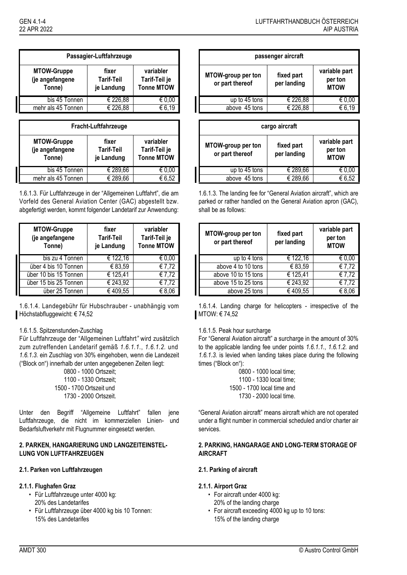|                                                 | Passagier-Luftfahrzeuge           |                                                 |                                       | passenger aircraft        |
|-------------------------------------------------|-----------------------------------|-------------------------------------------------|---------------------------------------|---------------------------|
| <b>MTOW-Gruppe</b><br>(je angefangene<br>Tonne) | fixer<br>Tarif-Teil<br>je Landung | variabler<br>Tarif-Teil je<br><b>Tonne MTOW</b> | MTOW-group per ton<br>or part thereof | fixed part<br>per landing |
| bis 45 Tonnen                                   | € 226,88                          | € 0,00                                          | up to 45 tons                         | € 226.                    |
| mehr als 45 Tonnen                              | € 226,88                          | € 6,19                                          | above 45 tons                         | € 226,                    |

| Fracht-Luftfahrzeuge                                                                                                                           |          |        |  |
|------------------------------------------------------------------------------------------------------------------------------------------------|----------|--------|--|
| <b>MTOW-Gruppe</b><br>variabler<br>fixer<br>(je angefangene<br><b>Tarif-Teil</b><br>Tarif-Teil je<br><b>Tonne MTOW</b><br>Tonne)<br>je Landung |          |        |  |
| bis 45 Tonnen                                                                                                                                  | € 289,66 | € U.UU |  |
| mehr als 45 Tonnen                                                                                                                             | € 289.66 | € 6.52 |  |

<span id="page-3-0"></span>1.6.1.3. Für Luftfahrzeuge in der "Allgemeinen Luftfahrt", die am Vorfeld des General Aviation Center (GAC) abgestellt bzw. abgefertigt werden, kommt folgender Landetarif zur Anwendung:

| <b>MTOW-Gruppe</b><br>(je angefangene<br>Tonne) | fixer<br><b>Tarif-Teil</b><br>je Landung | variabler<br>Tarif-Teil je<br><b>Tonne MTOW</b> |
|-------------------------------------------------|------------------------------------------|-------------------------------------------------|
| bis zu 4 Tonnen                                 | € 122,16                                 | € 0.00                                          |
| über 4 bis 10 Tonnen                            | € 83,59                                  | €7,72                                           |
| über 10 bis 15 Tonnen                           | € 125,41                                 | €7,72                                           |
| über 15 bis 25 Tonnen                           | € 243,92                                 | €7,72                                           |
| über 25 Tonnen                                  | €409.55                                  | € 8.06                                          |

1.6.1.4. Landegebühr für Hubschrauber - unabhängig vom Höchstabfluggewicht: € 74,52

# 1.6.1.5. Spitzenstunden-Zuschlag

Für Luftfahrzeuge der "Allgemeinen Luftfahrt*"* wird zusätzlich zum zutreffenden Landetarif gemäß *[1.6.1.1.](#page-2-0)*, *[1.6.1.2.](#page-2-1)* und *[1.6.1.3.](#page-3-0)* ein Zuschlag von 30% eingehoben, wenn die Landezeit ("Block on") innerhalb der unten angegebenen Zeiten liegt:

Unter den Begriff "Allgemeine Luftfahrt" fallen jene Luftfahrzeuge, die nicht im kommerziellen Linien- und Bedarfsluftverkehr mit Flugnummer eingesetzt werden.

## **2. PARKEN, HANGARIERUNG UND LANGZEITEINSTEL-LUNG VON LUFTFAHRZEUGEN**

## **2.1. Parken von Luftfahrzeugen 2.1. Parking of aircraft**

# **2.1.1. Flughafen Graz 2.1.1. Airport Graz**

- Für Luftfahrzeuge unter 4000 kg: 20% des Landetarifes
- Für Luftfahrzeuge über 4000 kg bis 10 Tonnen: 15% des Landetarifes

| Passagier-Luftfahrzeuge                        |                                   | passenger aircraft                              |                                              |                           |                                         |
|------------------------------------------------|-----------------------------------|-------------------------------------------------|----------------------------------------------|---------------------------|-----------------------------------------|
| <b>MTOW-Gruppe</b><br>je angefangene<br>Tonne) | fixer<br>Tarif-Teil<br>je Landung | variabler<br>Tarif-Teil je<br><b>Tonne MTOW</b> | <b>MTOW-group per ton</b><br>or part thereof | fixed part<br>per landing | variable part<br>per ton<br><b>MTOW</b> |
| bis 45 Tonnen                                  | € 226,88                          | € 0,00                                          | up to 45 tons                                | € 226,88                  | € 0,00                                  |
| mehr als 45 Tonnen                             | € 226,88                          | € 6,19                                          | above 45 tons                                | € 226,88                  | € 6,19                                  |

### **Fracht-Luftfahrzeuge cargo aircraft**

| <b>MTOW-Gruppe</b><br>je angefangene<br>Tonne) | fixer<br>Tarif-Teil<br>je Landung | variabler<br>Tarif-Teil je<br><b>Tonne MTOW</b> | MTOW-group per ton<br>or part thereof | fixed part<br>per landing | variable part<br>per ton<br><b>MTOW</b> |
|------------------------------------------------|-----------------------------------|-------------------------------------------------|---------------------------------------|---------------------------|-----------------------------------------|
| bis 45 Tonnen                                  | € 289.66                          | $\epsilon$ 0,00                                 | up to 45 tons                         | € 289,66                  | € 0,00                                  |
| mehr als 45 Tonnen                             | € 289,66                          | € 6,52                                          | above 45 tons                         | € 289,66                  | € 6,52                                  |

<span id="page-3-1"></span>1.6.1.3. The landing fee for "General Aviation aircraft", which are parked or rather handled on the General Aviation apron (GAC), shall be as follows:

| <b>MTOW-Gruppe</b><br>(je angefangene<br>Tonne) | fixer<br>Tarif-Teil<br>je Landung | variabler<br>Tarif-Teil je<br><b>Tonne MTOW</b> | MTOW-group per ton<br>or part thereof | fixed part<br>per landing | variable part<br>per ton<br><b>MTOW</b> |
|-------------------------------------------------|-----------------------------------|-------------------------------------------------|---------------------------------------|---------------------------|-----------------------------------------|
| bis zu 4 Tonnen                                 | € 122,16                          | $\epsilon$ 0.00                                 | up to 4 tons                          | € 122,16                  | € 0,00                                  |
| über 4 bis 10 Tonnen                            | € 83.59                           | € 7,72                                          | above 4 to 10 tons                    | € 83,59                   | $\epsilon$ 7,72                         |
| über 10 bis 15 Tonnen                           | € 125,41                          | $\overline{6}$ 7.72                             | above 10 to 15 tons                   | € 125,41                  | $\sqrt{67.72}$                          |
| über 15 bis 25 Tonnen                           | € 243,92                          | $\sqrt{67.72}$                                  | above 15 to 25 tons                   | € 243,92                  | $\sqrt{67,72}$                          |
| über 25 Tonnen                                  | €409,55                           | € 8,06                                          | above 25 tons                         | €409.55                   | 6,66                                    |

1.6.1.4. Landing charge for helicopters - irrespective of the MTOW: € 74,52

### 1.6.1.5. Peak hour surcharge

For "General Aviation aircraft" a surcharge in the amount of 30% to the applicable landing fee under points *[1.6.1.1.](#page-2-0)*, *[1.6.1.2.](#page-2-2)* and *[1.6.1.3.](#page-3-1)* is levied when landing takes place during the following times ("Block on"):

0800 - 1000 Ortszeit; 0800 - 1000 local time; 1100 - 1330 Ortszeit; 1100 - 1330 local time; 1500 - 1700 Ortszeit und 1500 - 1700 local time and 1730 - 2000 Ortszeit. 1730 - 2000 local time.

> "General Aviation aircraft" means aircraft which are not operated under a flight number in commercial scheduled and/or charter air services.

## **2. PARKING, HANGARAGE AND LONG-TERM STORAGE OF AIRCRAFT**

- For aircraft under 4000 kg: 20% of the landing charge
- For aircraft exceeding 4000 kg up to 10 tons: 15% of the landing charge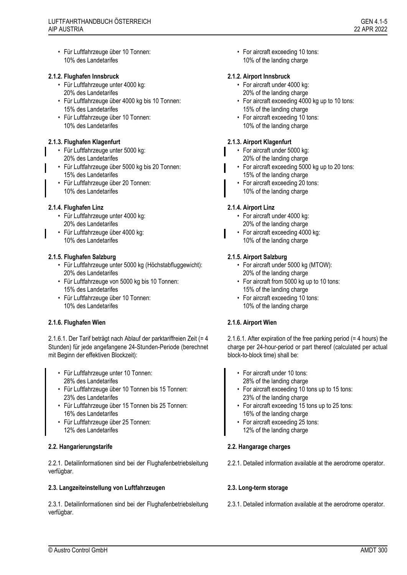• Für Luftfahrzeuge über 10 Tonnen: 10% des Landetarifes

# **2.1.2. Flughafen Innsbruck 2.1.2. Airport Innsbruck**

- Für Luftfahrzeuge unter 4000 kg: 20% des Landetarifes
- Für Luftfahrzeuge über 4000 kg bis 10 Tonnen: 15% des Landetarifes
- Für Luftfahrzeuge über 10 Tonnen: 10% des Landetarifes

# **2.1.3. Flughafen Klagenfurt 2.1.3. Airport Klagenfurt**

- Für Luftfahrzeuge unter 5000 kg: 20% des Landetarifes
- Für Luftfahrzeuge über 5000 kg bis 20 Tonnen: 15% des Landetarifes
- Für Luftfahrzeuge über 20 Tonnen: 10% des Landetarifes

# **2.1.4. Flughafen Linz 2.1.4. Airport Linz**

- Für Luftfahrzeuge unter 4000 kg: 20% des Landetarifes
- Für Luftfahrzeuge über 4000 kg: 10% des Landetarifes

# **2.1.5. Flughafen Salzburg 2.1.5. Airport Salzburg**

- Für Luftfahrzeuge unter 5000 kg (Höchstabfluggewicht): 20% des Landetarifes
- Für Luftfahrzeuge von 5000 kg bis 10 Tonnen: 15% des Landetarifes
- Für Luftfahrzeuge über 10 Tonnen: 10% des Landetarifes

# **2.1.6. Flughafen Wien 2.1.6. Airport Wien**

2.1.6.1. Der Tarif beträgt nach Ablauf der parktariffreien Zeit (= 4 Stunden) für jede angefangene 24-Stunden-Periode (berechnet mit Beginn der effektiven Blockzeit):

- Für Luftfahrzeuge unter 10 Tonnen: 28% des Landetarifes
- Für Luftfahrzeuge über 10 Tonnen bis 15 Tonnen: 23% des Landetarifes
- Für Luftfahrzeuge über 15 Tonnen bis 25 Tonnen: 16% des Landetarifes
- Für Luftfahrzeuge über 25 Tonnen: 12% des Landetarifes

# **2.2. Hangarierungstarife 2.2. Hangarage charges**

2.2.1. Detailinformationen sind bei der Flughafenbetriebsleitung verfügbar.

# **2.3. Langzeiteinstellung von Luftfahrzeugen 2.3. Long-term storage**

2.3.1. Detailinformationen sind bei der Flughafenbetriebsleitung verfügbar.

• For aircraft exceeding 10 tons: 10% of the landing charge

- For aircraft under 4000 kg: 20% of the landing charge
- For aircraft exceeding 4000 kg up to 10 tons: 15% of the landing charge
- For aircraft exceeding 10 tons: 10% of the landing charge

- For aircraft under 5000 kg: 20% of the landing charge
- For aircraft exceeding 5000 kg up to 20 tons: 15% of the landing charge
- For aircraft exceeding 20 tons: 10% of the landing charge

- For aircraft under 4000 kg: 20% of the landing charge
- For aircraft exceeding 4000 kg: 10% of the landing charge

- For aircraft under 5000 kg (MTOW): 20% of the landing charge
- For aircraft from 5000 kg up to 10 tons: 15% of the landing charge
- For aircraft exceeding 10 tons: 10% of the landing charge

2.1.6.1. After expiration of the free parking period (= 4 hours) the charge per 24-hour-period or part thereof (calculated per actual block-to-block time) shall be:

- For aircraft under 10 tons: 28% of the landing charge
- For aircraft exceeding 10 tons up to 15 tons: 23% of the landing charge
- For aircraft exceeding 15 tons up to 25 tons: 16% of the landing charge
- For aircraft exceeding 25 tons: 12% of the landing charge

2.2.1. Detailed information available at the aerodrome operator.

2.3.1. Detailed information available at the aerodrome operator.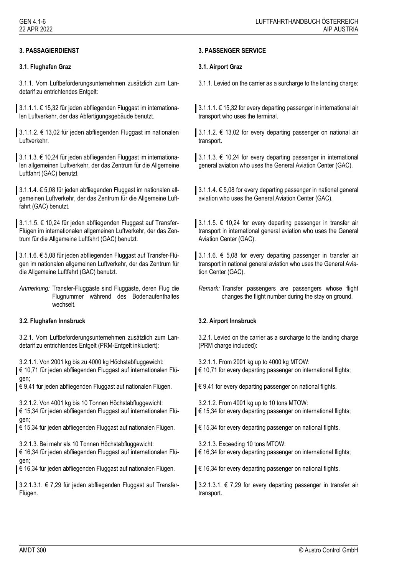# **3.1. Flughafen Graz 3.1. Airport Graz**

3.1.1. Vom Luftbeförderungsunternehmen zusätzlich zum Landetarif zu entrichtendes Entgelt:

3.1.1.1. € 15,32 für jeden abfliegenden Fluggast im internationalen Luftverkehr, der das Abfertigungsgebäude benutzt.

3.1.1.2. € 13,02 für jeden abfliegenden Fluggast im nationalen Luftverkehr.

3.1.1.3. € 10,24 für jeden abfliegenden Fluggast im internationalen allgemeinen Luftverkehr, der das Zentrum für die Allgemeine Luftfahrt (GAC) benutzt.

3.1.1.4. € 5,08 für jeden abfliegenden Fluggast im nationalen allgemeinen Luftverkehr, der das Zentrum für die Allgemeine Luftfahrt (GAC) benutzt.

3.1.1.5. € 10,24 für jeden abfliegenden Fluggast auf Transfer-Flügen im internationalen allgemeinen Luftverkehr, der das Zentrum für die Allgemeine Luftfahrt (GAC) benutzt.

3.1.1.6. € 5,08 für jeden abfliegenden Fluggast auf Transfer-Flügen im nationalen allgemeinen Luftverkehr, der das Zentrum für die Allgemeine Luftfahrt (GAC) benutzt.

*Anmerkung:* Transfer-Fluggäste sind Fluggäste, deren Flug die Flugnummer während des Bodenaufenthaltes wechselt.

# **3.2. Flughafen Innsbruck 3.2. Airport Innsbruck**

3.2.1. Vom Luftbeförderungsunternehmen zusätzlich zum Landetarif zu entrichtendes Entgelt (PRM-Entgelt inkludiert):

3.2.1.1. Von 2001 kg bis zu 4000 kg Höchstabfluggewicht:

€ 10,71 für jeden abfliegenden Fluggast auf internationalen Flügen;

€ 9,41 für jeden abfliegenden Fluggast auf nationalen Flügen.

3.2.1.2. Von 4001 kg bis 10 Tonnen Höchstabfluggewicht: € 15,34 für jeden abfliegenden Fluggast auf internationalen Flügen;

€ 15,34 für jeden abfliegenden Fluggast auf nationalen Flügen.

3.2.1.3. Bei mehr als 10 Tonnen Höchstabfluggewicht:

€ 16,34 für jeden abfliegenden Fluggast auf internationalen Flügen;

€ 16,34 für jeden abfliegenden Fluggast auf nationalen Flügen.

3.2.1.3.1. € 7,29 für jeden abfliegenden Fluggast auf Transfer-Flügen.

# **3. PASSAGIERDIENST 3. PASSENGER SERVICE**

3.1.1. Levied on the carrier as a surcharge to the landing charge:

3.1.1.1. € 15,32 for every departing passenger in international air transport who uses the terminal.

3.1.1.2. € 13,02 for every departing passenger on national air transport.

3.1.1.3. € 10,24 for every departing passenger in international general aviation who uses the General Aviation Center (GAC).

3.1.1.4. € 5,08 for every departing passenger in national general aviation who uses the General Aviation Center (GAC).

3.1.1.5. € 10,24 for every departing passenger in transfer air transport in international general aviation who uses the General Aviation Center (GAC).

3.1.1.6. € 5,08 for every departing passenger in transfer air transport in national general aviation who uses the General Aviation Center (GAC).

*Remark:* Transfer passengers are passengers whose flight changes the flight number during the stay on ground.

3.2.1. Levied on the carrier as a surcharge to the landing charge (PRM charge included):

3.2.1.1. From 2001 kg up to 4000 kg MTOW:

€ 10,71 for every departing passenger on international flights;

 $\epsilon$  9,41 for every departing passenger on national flights.

3.2.1.2. From 4001 kg up to 10 tons MTOW:

€ 15,34 for every departing passenger on international flights;

- € 15,34 for every departing passenger on national flights.
	- 3.2.1.3. Exceeding 10 tons MTOW:
- € 16,34 for every departing passenger on international flights;

€ 16,34 for every departing passenger on national flights.

3.2.1.3.1. € 7,29 for every departing passenger in transfer air transport.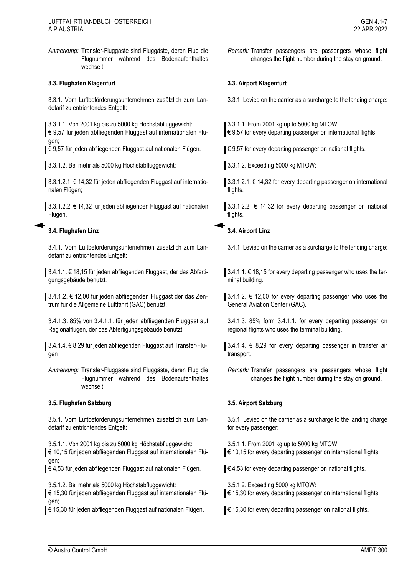*Anmerkung:* Transfer-Fluggäste sind Fluggäste, deren Flug die Flugnummer während des Bodenaufenthaltes wechselt.

## **3.3. Flughafen Klagenfurt 3.3. Airport Klagenfurt**

3.3.1. Vom Luftbeförderungsunternehmen zusätzlich zum Landetarif zu entrichtendes Entgelt:

3.3.1.1. Von 2001 kg bis zu 5000 kg Höchstabfluggewicht: € 9,57 für jeden abfliegenden Fluggast auf internationalen Flügen;

€ 9,57 für jeden abfliegenden Fluggast auf nationalen Flügen.

3.3.1.2. Bei mehr als 5000 kg Höchstabfluggewicht: 3.3.1.2. Exceeding 5000 kg MTOW:

3.3.1.2.1. € 14,32 für jeden abfliegenden Fluggast auf internationalen Flügen;

3.3.1.2.2. € 14,32 für jeden abfliegenden Fluggast auf nationalen Flügen.

# **3.4. Flughafen Linz 3.4. Airport Linz**

3.4.1. Vom Luftbeförderungsunternehmen zusätzlich zum Landetarif zu entrichtendes Entgelt:

3.4.1.1. € 18,15 für jeden abfliegenden Fluggast, der das Abfertigungsgebäude benutzt.

3.4.1.2. € 12,00 für jeden abfliegenden Fluggast der das Zentrum für die Allgemeine Luftfahrt (GAC) benutzt.

3.4.1.3. 85% von 3.4.1.1. für jeden abfliegenden Fluggast auf Regionalflügen, der das Abfertigungsgebäude benutzt.

3.4.1.4. € 8,29 für jeden abfliegenden Fluggast auf Transfer-Flügen

*Anmerkung:* Transfer-Fluggäste sind Fluggäste, deren Flug die Flugnummer während des Bodenaufenthaltes wechselt.

### **3.5. Flughafen Salzburg 3.5. Airport Salzburg**

3.5.1. Vom Luftbeförderungsunternehmen zusätzlich zum Landetarif zu entrichtendes Entgelt:

3.5.1.1. Von 2001 kg bis zu 5000 kg Höchstabfluggewicht:

€ 10,15 für jeden abfliegenden Fluggast auf internationalen Flügen;

€ 4,53 für jeden abfliegenden Fluggast auf nationalen Flügen.

3.5.1.2. Bei mehr als 5000 kg Höchstabfluggewicht:

€ 15,30 für jeden abfliegenden Fluggast auf internationalen Flügen;

€ 15,30 für jeden abfliegenden Fluggast auf nationalen Flügen.

*Remark:* Transfer passengers are passengers whose flight changes the flight number during the stay on ground.

3.3.1. Levied on the carrier as a surcharge to the landing charge:

3.3.1.1. From 2001 kg up to 5000 kg MTOW:  $\in$  9,57 for every departing passenger on international flights;

 $\in$  9,57 for every departing passenger on national flights.

3.3.1.2.1. € 14,32 for every departing passenger on international flights.

3.3.1.2.2.  $€$  14,32 for every departing passenger on national flights.

3.4.1. Levied on the carrier as a surcharge to the landing charge:

3.4.1.1. € 18,15 for every departing passenger who uses the terminal building.

3.4.1.2.  $€$  12,00 for every departing passenger who uses the General Aviation Center (GAC).

3.4.1.3. 85% form 3.4.1.1. for every departing passenger on regional flights who uses the terminal building.

3.4.1.4.  $∈$  8,29 for every departing passenger in transfer air transport.

*Remark:* Transfer passengers are passengers whose flight changes the flight number during the stay on ground.

3.5.1. Levied on the carrier as a surcharge to the landing charge for every passenger:

3.5.1.1. From 2001 kg up to 5000 kg MTOW:  $\in$  10,15 for every departing passenger on international flights;

€ 4,53 for every departing passenger on national flights.

3.5.1.2. Exceeding 5000 kg MTOW:

€ 15,30 for every departing passenger on international flights;

€ 15,30 for every departing passenger on national flights.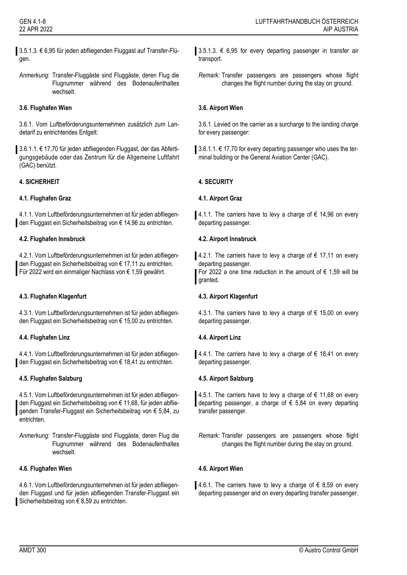3.5.1.3. € 6,95 für jeden abfliegenden Fluggast auf Transfer-Flügen.

*Anmerkung:* Transfer-Fluggäste sind Fluggäste, deren Flug die Flugnummer während des Bodenaufenthaltes wechselt.

# **3.6. Flughafen Wien 3.6. Airport Wien**

3.6.1. Vom Luftbeförderungsunternehmen zusätzlich zum Landetarif zu entrichtendes Entgelt:

3.6.1.1. € 17,70 für jeden abfliegenden Fluggast, der das Abfertigungsgebäude oder das Zentrum für die Allgemeine Luftfahrt (GAC) benützt.

# **4. SICHERHEIT 4. SECURITY**

## **4.1. Flughafen Graz 4.1. Airport Graz**

4.1.1. Vom Luftbeförderungsunternehmen ist für jeden abfliegenden Fluggast ein Sicherheitsbeitrag von € 14,96 zu entrichten.

## **4.2. Flughafen Innsbruck 4.2. Airport Innsbruck**

4.2.1. Vom Luftbeförderungsunternehmen ist für jeden abfliegenden Fluggast ein Sicherheitsbeitrag von € 17,11 zu entrichten. Für 2022 wird ein einmaliger Nachlass von € 1,59 gewährt.

# **4.3. Flughafen Klagenfurt 4.3. Airport Klagenfurt**

4.3.1. Vom Luftbeförderungsunternehmen ist für jeden abfliegenden Fluggast ein Sicherheitsbeitrag von € 15,00 zu entrichten.

### **4.4. Flughafen Linz 4.4. Airport Linz**

4.4.1. Vom Luftbeförderungsunternehmen ist für jeden abfliegenden Fluggast ein Sicherheitsbeitrag von € 18,41 zu entrichten.

# **4.5. Flughafen Salzburg 4.5. Airport Salzburg**

4.5.1. Vom Luftbeförderungsunternehmen ist für jeden abfliegenden Fluggast ein Sicherheitsbeitrag von € 11,68, für jeden abfliegenden Transfer-Fluggast ein Sicherheitsbeitrag von € 5,84, zu entrichten.

*Anmerkung:* Transfer-Fluggäste sind Fluggäste, deren Flug die Flugnummer während des Bodenaufenthaltes wechselt.

### **4.6. Flughafen Wien 4.6. Airport Wien**

4.6.1. Vom Luftbeförderungsunternehmen ist für jeden abfliegenden Fluggast und für jeden abfliegenden Transfer-Fluggast ein Sicherheitsbeitrag von € 8,59 zu entrichten.

3.5.1.3.  $€$  6,95 for every departing passenger in transfer air transport.

*Remark:* Transfer passengers are passengers whose flight changes the flight number during the stay on ground.

3.6.1. Levied on the carrier as a surcharge to the landing charge for every passenger:

3.6.1.1. € 17,70 for every departing passenger who uses the terminal building or the General Aviation Center (GAC).

4.1.1. The carriers have to levy a charge of  $\epsilon$  14,96 on every departing passenger.

4.2.1. The carriers have to levy a charge of € 17,11 on every departing passenger.

For 2022 a one time reduction in the amount of  $\epsilon$  1,59 will be granted.

4.3.1. The carriers have to levy a charge of € 15,00 on every departing passenger.

4.4.1. The carriers have to levy a charge of € 18,41 on every departing passenger.

4.5.1. The carriers have to levy a charge of € 11,68 on every departing passenger, a charge of  $\epsilon$  5,84 on every departing transfer passenger.

4.6.1. The carriers have to levy a charge of € 8,59 on every departing passenger and on every departing transfer passenger.

*Remark:* Transfer passengers are passengers whose flight changes the flight number during the stay on ground.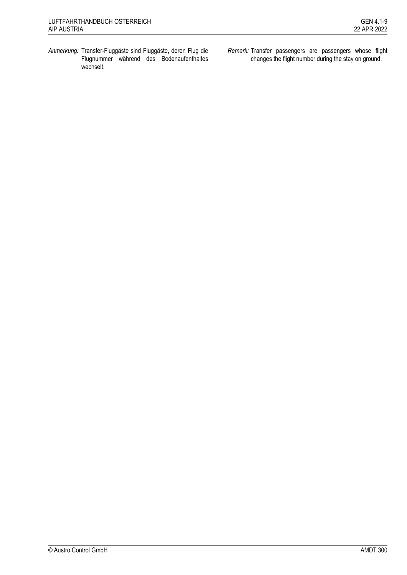- *Anmerkung:* Transfer-Fluggäste sind Fluggäste, deren Flug die Flugnummer während des Bodenaufenthaltes wechselt.
- *Remark:* Transfer passengers are passengers whose flight changes the flight number during the stay on ground.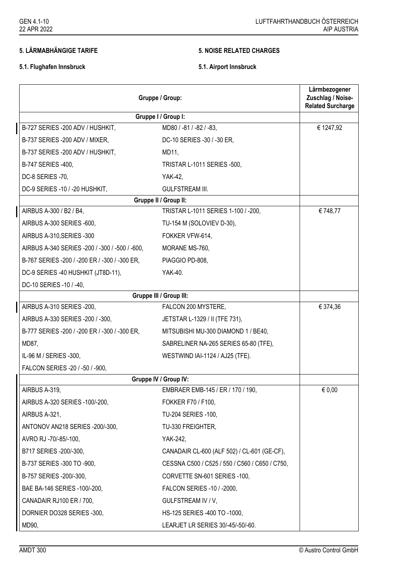# **5. LÄRMABHÄNGIGE TARIFE 5. NOISE RELATED CHARGES**

# **5.1. Flughafen Innsbruck 5.1. Airport Innsbruck**

| Gruppe / Group:                                | Lärmbezogener<br>Zuschlag / Noise-<br><b>Related Surcharge</b> |           |
|------------------------------------------------|----------------------------------------------------------------|-----------|
|                                                | Gruppe I / Group I:                                            |           |
| B-727 SERIES - 200 ADV / HUSHKIT,              | MD80 / -81 / -82 / -83,                                        | € 1247,92 |
| B-737 SERIES -200 ADV / MIXER,                 | DC-10 SERIES -30 / -30 ER,                                     |           |
| B-737 SERIES -200 ADV / HUSHKIT,               | MD11,                                                          |           |
| B-747 SERIES -400,                             | TRISTAR L-1011 SERIES -500,                                    |           |
| DC-8 SERIES -70,                               | YAK-42,                                                        |           |
| DC-9 SERIES -10 / -20 HUSHKIT,                 | <b>GULFSTREAM III.</b>                                         |           |
|                                                | Gruppe II / Group II:                                          |           |
| AIRBUS A-300 / B2 / B4,                        | TRISTAR L-1011 SERIES 1-100 / -200,                            | € 748,77  |
| AIRBUS A-300 SERIES -600,                      | TU-154 M (SOLOVIEV D-30),                                      |           |
| AIRBUS A-310, SERIES - 300                     | FOKKER VFW-614,                                                |           |
| AIRBUS A-340 SERIES -200 / -300 / -500 / -600, | MORANE MS-760,                                                 |           |
| B-767 SERIES -200 / -200 ER / -300 / -300 ER,  | PIAGGIO PD-808,                                                |           |
| DC-9 SERIES -40 HUSHKIT (JT8D-11),             | YAK-40.                                                        |           |
| DC-10 SERIES -10 / -40,                        |                                                                |           |
|                                                | Gruppe III / Group III:                                        |           |
| AIRBUS A-310 SERIES -200,                      | FALCON 200 MYSTERE,                                            | € 374,36  |
| AIRBUS A-330 SERIES -200 / -300,               | JETSTAR L-1329 / II (TFE 731),                                 |           |
| B-777 SERIES -200 / -200 ER / -300 / -300 ER,  | MITSUBISHI MU-300 DIAMOND 1 / BE40,                            |           |
| MD87,                                          | SABRELINER NA-265 SERIES 65-80 (TFE),                          |           |
| IL-96 M / SERIES -300,                         | WESTWIND IAI-1124 / AJ25 (TFE).                                |           |
| FALCON SERIES -20 / -50 / -900,                |                                                                |           |
|                                                | Gruppe IV / Group IV:                                          |           |
| AIRBUS A-319                                   | EMBRAER EMB-145 / ER / 170 / 190,                              | € 0,00    |
| AIRBUS A-320 SERIES -100/-200,                 | FOKKER F70 / F100,                                             |           |
| AIRBUS A-321,                                  | TU-204 SERIES -100,                                            |           |
| ANTONOV AN218 SERIES -200/-300,                | TU-330 FREIGHTER,                                              |           |
| AVRO RJ -70/-85/-100,                          | YAK-242,                                                       |           |
| B717 SERIES -200/-300,                         | CANADAIR CL-600 (ALF 502) / CL-601 (GE-CF),                    |           |
| B-737 SERIES -300 TO -900,                     | CESSNA C500 / C525 / 550 / C560 / C650 / C750,                 |           |
| B-757 SERIES -200/-300,                        | CORVETTE SN-601 SERIES -100,                                   |           |
| BAE BA-146 SERIES -100/-200,                   | FALCON SERIES -10 / -2000,                                     |           |
| CANADAIR RJ100 ER / 700,                       | GULFSTREAM IV / V,                                             |           |
| DORNIER DO328 SERIES -300,                     | HS-125 SERIES -400 TO -1000,                                   |           |
| MD90,                                          | LEARJET LR SERIES 30/-45/-50/-60.                              |           |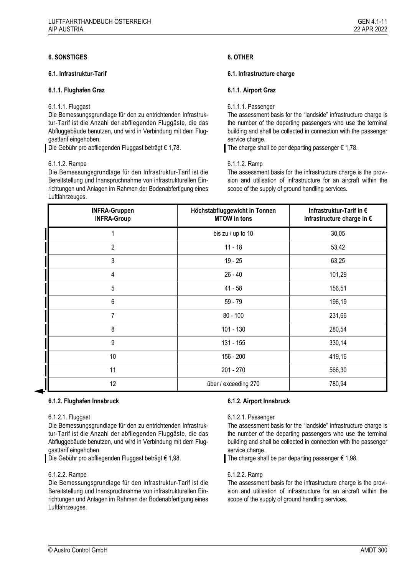## **6.1.1. Flughafen Graz 6.1.1. Airport Graz**

## 6.1.1.1. Fluggast

Die Bemessungsgrundlage für den zu entrichtenden Infrastruktur-Tarif ist die Anzahl der abfliegenden Fluggäste, die das Abfluggebäude benutzen, und wird in Verbindung mit dem Fluggasttarif eingehoben.

Die Gebühr pro abfliegenden Fluggast beträgt € 1,78.

## 6.1.1.2. Rampe

Die Bemessungsgrundlage für den Infrastruktur-Tarif ist die Bereitstellung und Inanspruchnahme von infrastrukturellen Einrichtungen und Anlagen im Rahmen der Bodenabfertigung eines Luftfahrzeuges.

## **6.1. Infrastruktur-Tarif 6.1. Infrastructure charge**

## 6.1.1.1. Passenger

The assessment basis for the "landside" infrastructure charge is the number of the departing passengers who use the terminal building and shall be collected in connection with the passenger service charge.

The charge shall be per departing passenger  $\epsilon$  1,78.

### 6.1.1.2. Ramp

The assessment basis for the infrastructure charge is the provision and utilisation of infrastructure for an aircraft within the scope of the supply of ground handling services.

| <b>INFRA-Gruppen</b><br><b>INFRA-Group</b> | Höchstabfluggewicht in Tonnen<br><b>MTOW</b> in tons | Infrastruktur-Tarif in €<br>Infrastructure charge in € |
|--------------------------------------------|------------------------------------------------------|--------------------------------------------------------|
| 1                                          | bis zu / up to 10                                    | 30,05                                                  |
| $\overline{2}$                             | $11 - 18$                                            | 53,42                                                  |
| 3                                          | $19 - 25$                                            | 63,25                                                  |
| 4                                          | $26 - 40$                                            | 101,29                                                 |
| 5                                          | $41 - 58$                                            | 156,51                                                 |
| 6                                          | $59 - 79$                                            | 196,19                                                 |
| $\overline{7}$                             | $80 - 100$                                           | 231,66                                                 |
| 8                                          | 101 - 130                                            | 280,54                                                 |
| 9                                          | 131 - 155                                            | 330,14                                                 |
| 10                                         | 156 - 200                                            | 419,16                                                 |
| 11                                         | 201 - 270                                            | 566,30                                                 |
| 12                                         | über / exceeding 270                                 | 780,94                                                 |

# **6.1.2. Flughafen Innsbruck 6.1.2. Airport Innsbruck**

### 6.1.2.1. Fluggast

Die Bemessungsgrundlage für den zu entrichtenden Infrastruktur-Tarif ist die Anzahl der abfliegenden Fluggäste, die das Abfluggebäude benutzen, und wird in Verbindung mit dem Fluggasttarif eingehoben.

Die Gebühr pro abfliegenden Fluggast beträgt € 1,98.

### 6.1.2.2. Rampe

Die Bemessungsgrundlage für den Infrastruktur-Tarif ist die Bereitstellung und Inanspruchnahme von infrastrukturellen Einrichtungen und Anlagen im Rahmen der Bodenabfertigung eines Luftfahrzeuges.

# 6.1.2.1. Passenger

The assessment basis for the "landside" infrastructure charge is the number of the departing passengers who use the terminal building and shall be collected in connection with the passenger service charge.

The charge shall be per departing passenger  $\epsilon$  1,98.

### 6.1.2.2. Ramp

The assessment basis for the infrastructure charge is the provision and utilisation of infrastructure for an aircraft within the scope of the supply of ground handling services.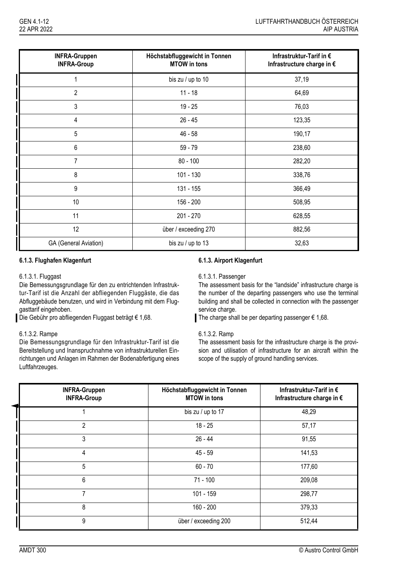| <b>INFRA-Gruppen</b><br><b>INFRA-Group</b> | Höchstabfluggewicht in Tonnen<br><b>MTOW</b> in tons | Infrastruktur-Tarif in €<br>Infrastructure charge in € |
|--------------------------------------------|------------------------------------------------------|--------------------------------------------------------|
|                                            | bis zu / up to 10                                    | 37,19                                                  |
| $\overline{2}$                             | $11 - 18$                                            | 64,69                                                  |
| 3                                          | $19 - 25$                                            | 76,03                                                  |
| 4                                          | $26 - 45$                                            | 123,35                                                 |
| 5                                          | $46 - 58$                                            | 190,17                                                 |
| 6                                          | $59 - 79$                                            | 238,60                                                 |
| 7                                          | $80 - 100$                                           | 282,20                                                 |
| 8                                          | 101 - 130                                            | 338,76                                                 |
| 9                                          | 131 - 155                                            | 366,49                                                 |
| 10                                         | 156 - 200                                            | 508,95                                                 |
| 11                                         | 201 - 270                                            | 628,55                                                 |
| 12                                         | über / exceeding 270                                 | 882,56                                                 |
| GA (General Aviation)                      | bis zu / up to 13                                    | 32,63                                                  |

# **6.1.3. Flughafen Klagenfurt 6.1.3. Airport Klagenfurt**

# 6.1.3.1. Fluggast

Die Bemessungsgrundlage für den zu entrichtenden Infrastruktur-Tarif ist die Anzahl der abfliegenden Fluggäste, die das Abfluggebäude benutzen, und wird in Verbindung mit dem Fluggasttarif eingehoben.

Die Gebühr pro abfliegenden Fluggast beträgt € 1,68.

# 6.1.3.2. Rampe

Die Bemessungsgrundlage für den Infrastruktur-Tarif ist die Bereitstellung und Inanspruchnahme von infrastrukturellen Einrichtungen und Anlagen im Rahmen der Bodenabfertigung eines Luftfahrzeuges.

### 6.1.3.1. Passenger

The assessment basis for the "landside" infrastructure charge is the number of the departing passengers who use the terminal building and shall be collected in connection with the passenger service charge.

The charge shall be per departing passenger  $\epsilon$  1,68.

### 6.1.3.2. Ramp

The assessment basis for the infrastructure charge is the provision and utilisation of infrastructure for an aircraft within the scope of the supply of ground handling services.

| <b>INFRA-Gruppen</b><br><b>INFRA-Group</b> | Höchstabfluggewicht in Tonnen<br><b>MTOW</b> in tons | Infrastruktur-Tarif in €<br>Infrastructure charge in € |
|--------------------------------------------|------------------------------------------------------|--------------------------------------------------------|
|                                            | bis zu / up to 17                                    | 48,29                                                  |
| 2                                          | $18 - 25$                                            | 57,17                                                  |
| 3                                          | $26 - 44$                                            | 91,55                                                  |
| 4                                          | $45 - 59$                                            | 141,53                                                 |
| 5                                          | $60 - 70$                                            | 177,60                                                 |
| 6                                          | $71 - 100$                                           | 209,08                                                 |
| $\overline{7}$                             | 101 - 159                                            | 298,77                                                 |
| 8                                          | $160 - 200$                                          | 379,33                                                 |
| 9                                          | über / exceeding 200                                 | 512,44                                                 |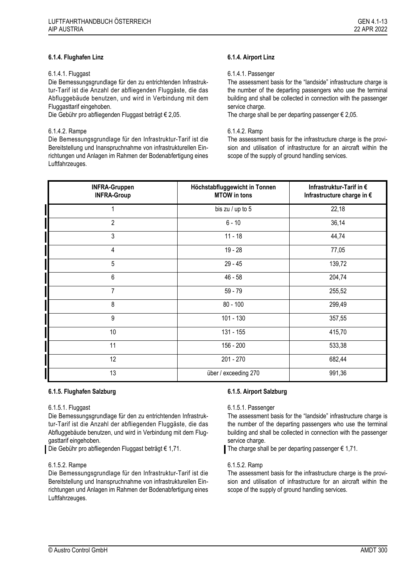## 6.1.4.1. Fluggast

Die Bemessungsgrundlage für den zu entrichtenden Infrastruktur-Tarif ist die Anzahl der abfliegenden Fluggäste, die das Abfluggebäude benutzen, und wird in Verbindung mit dem Fluggasttarif eingehoben.

Die Gebühr pro abfliegenden Fluggast beträgt € 2,05.

## 6.1.4.2. Rampe

Die Bemessungsgrundlage für den Infrastruktur-Tarif ist die Bereitstellung und Inanspruchnahme von infrastrukturellen Einrichtungen und Anlagen im Rahmen der Bodenabfertigung eines Luftfahrzeuges.

## 6.1.4.1. Passenger

The assessment basis for the "landside" infrastructure charge is the number of the departing passengers who use the terminal building and shall be collected in connection with the passenger service charge.

The charge shall be per departing passenger  $\epsilon$  2,05.

### 6.1.4.2. Ramp

The assessment basis for the infrastructure charge is the provision and utilisation of infrastructure for an aircraft within the scope of the supply of ground handling services.

| <b>INFRA-Gruppen</b><br><b>INFRA-Group</b> | Höchstabfluggewicht in Tonnen<br><b>MTOW</b> in tons | Infrastruktur-Tarif in €<br>Infrastructure charge in € |
|--------------------------------------------|------------------------------------------------------|--------------------------------------------------------|
| 1                                          | bis zu / up to 5                                     | 22,18                                                  |
| $\overline{2}$                             | $6 - 10$                                             | 36,14                                                  |
| 3                                          | $11 - 18$                                            | 44,74                                                  |
| $\overline{4}$                             | $19 - 28$                                            | 77,05                                                  |
| 5                                          | $29 - 45$                                            | 139,72                                                 |
| 6                                          | $46 - 58$                                            | 204,74                                                 |
| $\overline{7}$                             | $59 - 79$                                            | 255,52                                                 |
| 8                                          | $80 - 100$                                           | 299,49                                                 |
| 9                                          | $101 - 130$                                          | 357,55                                                 |
| 10                                         | 131 - 155                                            | 415,70                                                 |
| 11                                         | 156 - 200                                            | 533,38                                                 |
| 12                                         | 201 - 270                                            | 682,44                                                 |
| 13                                         | über / exceeding 270                                 | 991,36                                                 |

# **6.1.5. Flughafen Salzburg 6.1.5. Airport Salzburg**

### 6.1.5.1. Fluggast

Die Bemessungsgrundlage für den zu entrichtenden Infrastruktur-Tarif ist die Anzahl der abfliegenden Fluggäste, die das Abfluggebäude benutzen, und wird in Verbindung mit dem Fluggasttarif eingehoben.

Die Gebühr pro abfliegenden Fluggast beträgt € 1,71.

### 6.1.5.2. Rampe

Die Bemessungsgrundlage für den Infrastruktur-Tarif ist die Bereitstellung und Inanspruchnahme von infrastrukturellen Einrichtungen und Anlagen im Rahmen der Bodenabfertigung eines Luftfahrzeuges.

### 6.1.5.1. Passenger

The assessment basis for the "landside" infrastructure charge is the number of the departing passengers who use the terminal building and shall be collected in connection with the passenger service charge.

The charge shall be per departing passenger  $\epsilon$  1,71.

### 6.1.5.2. Ramp

The assessment basis for the infrastructure charge is the provision and utilisation of infrastructure for an aircraft within the scope of the supply of ground handling services.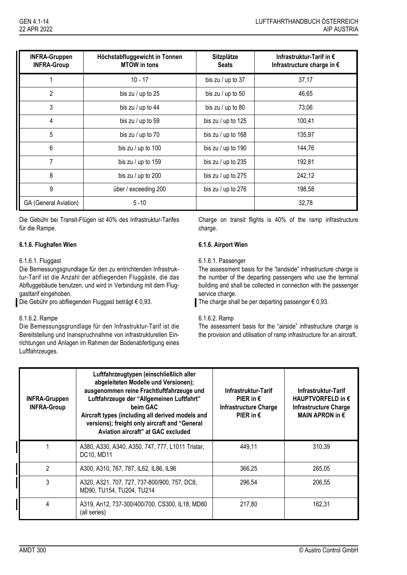| <b>INFRA-Gruppen</b><br><b>INFRA-Group</b> | Höchstabfluggewicht in Tonnen<br><b>MTOW</b> in tons | Sitzplätze<br><b>Seats</b> | Infrastruktur-Tarif in €<br>Infrastructure charge in € |
|--------------------------------------------|------------------------------------------------------|----------------------------|--------------------------------------------------------|
|                                            | $10 - 17$                                            | bis zu / up to 37          | 37,17                                                  |
| $\overline{2}$                             | bis zu / up to 25                                    | bis zu / up to $50$        | 46,65                                                  |
| 3                                          | bis zu / up to 44                                    | bis zu / up to $80$        | 73,06                                                  |
| $\overline{\mathbf{4}}$                    | bis zu / up to 59                                    | bis zu / up to 125         | 100,41                                                 |
| 5                                          | bis zu / up to 70                                    | bis zu / up to 168         | 135,97                                                 |
| 6                                          | bis zu / up to 100                                   | bis zu / up to 190         | 144,76                                                 |
| 7                                          | bis zu / up to 159                                   | bis zu / up to 235         | 192,81                                                 |
| 8                                          | bis zu / up to 200                                   | bis zu / up to 275         | 242,12                                                 |
| 9                                          | über / exceeding 200                                 | bis zu / up to 276         | 198,58                                                 |
| GA (General Aviation)                      | $5 - 10$                                             |                            | 32,78                                                  |

Die Gebühr bei Transit-Flügen ist 40% des Infrastruktur-Tarifes für die Rampe.

# **6.1.6. Flughafen Wien 6.1.6. Airport Wien**

# 6.1.6.1. Fluggast

Die Bemessungsgrundlage für den zu entrichtenden Infrastruktur-Tarif ist die Anzahl der abfliegenden Fluggäste, die das Abfluggebäude benutzen, und wird in Verbindung mit dem Fluggasttarif eingehoben.

Die Gebühr pro abfliegenden Fluggast beträgt € 0,93.

# 6.1.6.2. Rampe

Die Bemessungsgrundlage für den Infrastruktur-Tarif ist die Bereitstellung und Inanspruchnahme von infrastrukturellen Einrichtungen und Anlagen im Rahmen der Bodenabfertigung eines Luftfahrzeuges.

Charge on transit flights is 40% of the ramp infrastructure charge.

### 6.1.6.1. Passenger

The assessment basis for the "landside" infrastructure charge is the number of the departing passengers who use the terminal building and shall be collected in connection with the passenger service charge.

The charge shall be per departing passenger  $\epsilon$  0,93.

### 6.1.6.2. Ramp

The assessment basis for the "airside" infrastructure charge is the provision and utilisation of ramp infrastructure for an aircraft.

| <b>INFRA-Gruppen</b><br><b>INFRA-Group</b> | Luftfahrzeugtypen (einschließlich aller<br>abgeleiteten Modelle und Versionen);<br>ausgenommen reine Frachtluftfahrzeuge und<br>Luftfahrzeuge der "Allgemeinen Luftfahrt"<br>beim GAC<br>Aircraft types (including all derived models and<br>versions); freight only aircraft and "General<br>Aviation aircraft" at GAC excluded | Infrastruktur-Tarif<br>PIER in $\epsilon$<br><b>Infrastructure Charge</b><br>PIER in $\epsilon$ | Infrastruktur-Tarif<br>HAUPTVORFELD in $\epsilon$<br>Infrastructure Charge<br>MAIN APRON in $\epsilon$ |
|--------------------------------------------|----------------------------------------------------------------------------------------------------------------------------------------------------------------------------------------------------------------------------------------------------------------------------------------------------------------------------------|-------------------------------------------------------------------------------------------------|--------------------------------------------------------------------------------------------------------|
|                                            | A380, A330, A340, A350, 747, 777, L1011 Tristar,<br>DC10, MD11                                                                                                                                                                                                                                                                   | 449,11                                                                                          | 310,39                                                                                                 |
| 2                                          | A300, A310, 767, 787, IL62, IL86, IL96                                                                                                                                                                                                                                                                                           | 366,25                                                                                          | 265,05                                                                                                 |
| 3                                          | A320, A321, 707, 727, 737-800/900, 757, DC8,<br>MD90, TU154, TU204, TU214                                                                                                                                                                                                                                                        | 296,54                                                                                          | 206,55                                                                                                 |
| 4                                          | A319, An12, 737-300/400/700, CS300, IL18, MD80<br>(all series)                                                                                                                                                                                                                                                                   | 217,80                                                                                          | 162,31                                                                                                 |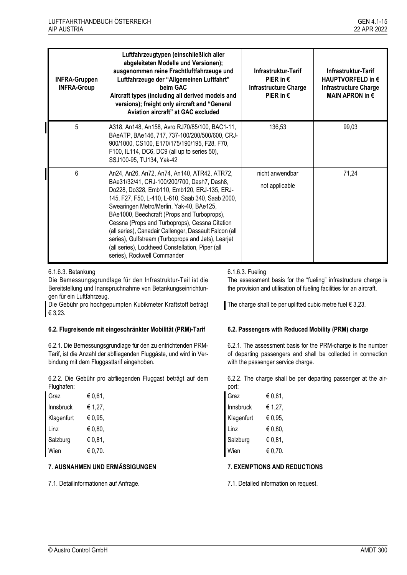| <b>INFRA-Gruppen</b><br><b>INFRA-Group</b> | Luftfahrzeugtypen (einschließlich aller<br>abgeleiteten Modelle und Versionen);<br>ausgenommen reine Frachtluftfahrzeuge und<br>Luftfahrzeuge der "Allgemeinen Luftfahrt"<br>beim GAC<br>Aircraft types (including all derived models and<br>versions); freight only aircraft and "General<br>Aviation aircraft" at GAC excluded                                                                                                                                                                                                                | Infrastruktur-Tarif<br>PIER in $\epsilon$<br><b>Infrastructure Charge</b><br>PIER in $\epsilon$ | Infrastruktur-Tarif<br>HAUPTVORFELD in $\epsilon$<br>Infrastructure Charge<br>MAIN APRON in $\epsilon$ |
|--------------------------------------------|-------------------------------------------------------------------------------------------------------------------------------------------------------------------------------------------------------------------------------------------------------------------------------------------------------------------------------------------------------------------------------------------------------------------------------------------------------------------------------------------------------------------------------------------------|-------------------------------------------------------------------------------------------------|--------------------------------------------------------------------------------------------------------|
| 5                                          | A318, An148, An158, Avro RJ70/85/100, BAC1-11,<br>BAeATP, BAe146, 717, 737-100/200/500/600, CRJ-<br>900/1000, CS100, E170/175/190/195, F28, F70,<br>F100, IL114, DC6, DC9 (all up to series 50),<br>SSJ100-95, TU134, Yak-42                                                                                                                                                                                                                                                                                                                    | 136,53                                                                                          | 99,03                                                                                                  |
| 6                                          | An24, An26, An72, An74, An140, ATR42, ATR72,<br>BAe31/32/41, CRJ-100/200/700, Dash7, Dash8,<br>Do228, Do328, Emb110, Emb120, ERJ-135, ERJ-<br>145, F27, F50, L-410, L-610, Saab 340, Saab 2000,<br>Swearingen Metro/Merlin, Yak-40, BAe125,<br>BAe1000, Beechcraft (Props and Turboprops),<br>Cessna (Props and Turboprops), Cessna Citation<br>(all series), Canadair Callenger, Dassault Falcon (all<br>series), Gulfstream (Turboprops and Jets), Learjet<br>(all series), Lockheed Constellation, Piper (all<br>series), Rockwell Commander | nicht anwendbar<br>not applicable                                                               | 71,24                                                                                                  |

6.1.6.3. Betankung

Die Bemessungsgrundlage für den Infrastruktur-Teil ist die Bereitstellung und Inanspruchnahme von Betankungseinrichtungen für ein Luftfahrzeug.

Die Gebühr pro hochgepumpten Kubikmeter Kraftstoff beträgt € 3,23.

# **6.2. Flugreisende mit eingeschränkter Mobilität (PRM)-Tarif 6.2. Passengers with Reduced Mobility (PRM) charge**

6.2.1. Die Bemessungsgrundlage für den zu entrichtenden PRM-Tarif, ist die Anzahl der abfliegenden Fluggäste, und wird in Verbindung mit dem Fluggasttarif eingehoben.

6.2.2. Die Gebühr pro abfliegenden Fluggast beträgt auf dem Flughafen:

| Graz       | € 0,61, | Graz       | € $0,61,$ |
|------------|---------|------------|-----------|
| Innsbruck  | € 1,27, | Innsbruck  | € 1,27,   |
| Klagenfurt | € 0,95, | Klagenfurt | € 0,95,   |
| Linz       | € 0,80, | Linz       | € $0,80,$ |
| Salzburg   | € 0,81, | Salzburg   | € $0,81,$ |
| Wien       | € 0,70. | Wien       | € 0,70.   |

# **7. AUSNAHMEN UND ERMÄSSIGUNGEN 7. EXEMPTIONS AND REDUCTIONS**

7.1. Detailinformationen auf Anfrage. 7.1. Detailed information on request.

# 6.1.6.3. Fueling

The assessment basis for the "fueling" infrastructure charge is the provision and utilisation of fueling facilities for an aircraft.

The charge shall be per uplifted cubic metre fuel  $\epsilon$  3,23.

6.2.1. The assessment basis for the PRM-charge is the number of departing passengers and shall be collected in connection with the passenger service charge.

6.2.2. The charge shall be per departing passenger at the airport:

| Graz       | € 0,61, |  |
|------------|---------|--|
| Innsbruck  | € 1,27, |  |
| Klagenfurt | € 0,95, |  |
| Linz       | € 0.80, |  |
| Salzburg   | € 0,81, |  |
| Wien       | € 0,70. |  |
|            |         |  |